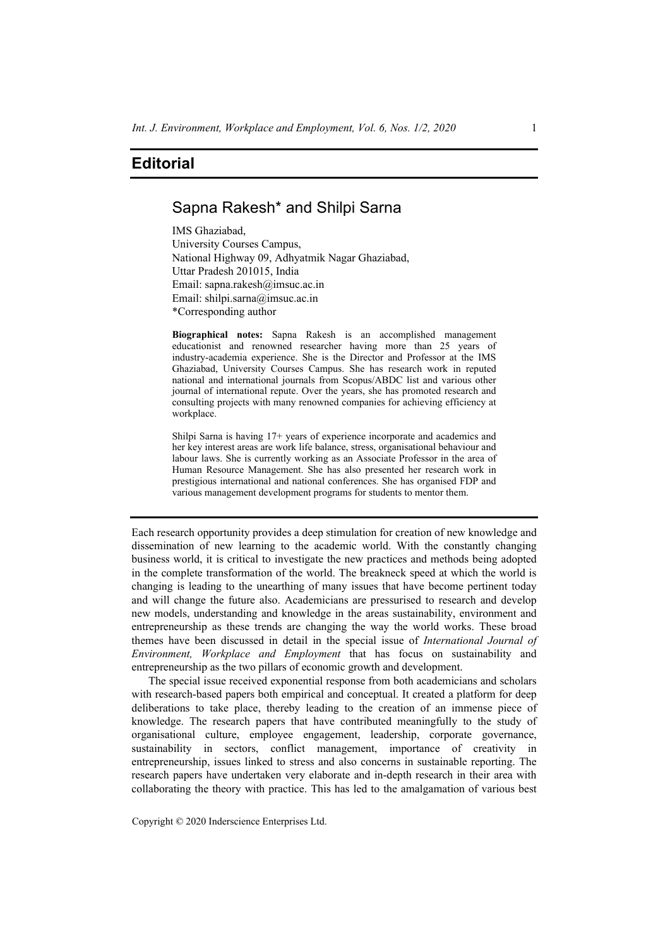## **Editorial**

## Sapna Rakesh\* and Shilpi Sarna

IMS Ghaziabad, University Courses Campus, National Highway 09, Adhyatmik Nagar Ghaziabad, Uttar Pradesh 201015, India Email: sapna.rakesh@imsuc.ac.in Email: shilpi.sarna@imsuc.ac.in \*Corresponding author

**Biographical notes:** Sapna Rakesh is an accomplished management educationist and renowned researcher having more than 25 years of industry-academia experience. She is the Director and Professor at the IMS Ghaziabad, University Courses Campus. She has research work in reputed national and international journals from Scopus/ABDC list and various other journal of international repute. Over the years, she has promoted research and consulting projects with many renowned companies for achieving efficiency at workplace.

Shilpi Sarna is having 17+ years of experience incorporate and academics and her key interest areas are work life balance, stress, organisational behaviour and labour laws. She is currently working as an Associate Professor in the area of Human Resource Management. She has also presented her research work in prestigious international and national conferences. She has organised FDP and various management development programs for students to mentor them.

Each research opportunity provides a deep stimulation for creation of new knowledge and dissemination of new learning to the academic world. With the constantly changing business world, it is critical to investigate the new practices and methods being adopted in the complete transformation of the world. The breakneck speed at which the world is changing is leading to the unearthing of many issues that have become pertinent today and will change the future also. Academicians are pressurised to research and develop new models, understanding and knowledge in the areas sustainability, environment and entrepreneurship as these trends are changing the way the world works. These broad themes have been discussed in detail in the special issue of *International Journal of Environment, Workplace and Employment* that has focus on sustainability and entrepreneurship as the two pillars of economic growth and development.

The special issue received exponential response from both academicians and scholars with research-based papers both empirical and conceptual. It created a platform for deep deliberations to take place, thereby leading to the creation of an immense piece of knowledge. The research papers that have contributed meaningfully to the study of organisational culture, employee engagement, leadership, corporate governance, sustainability in sectors, conflict management, importance of creativity in entrepreneurship, issues linked to stress and also concerns in sustainable reporting. The research papers have undertaken very elaborate and in-depth research in their area with collaborating the theory with practice. This has led to the amalgamation of various best